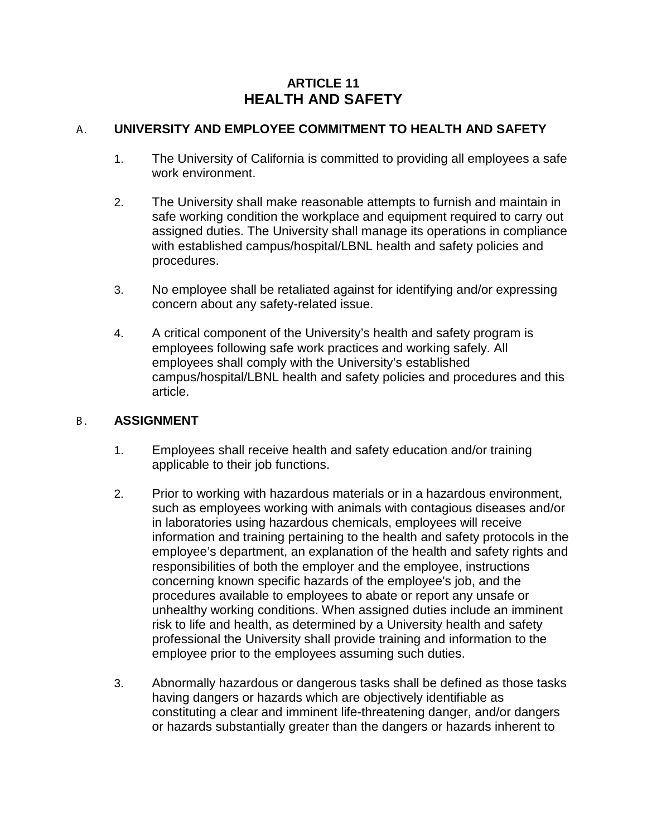# **ARTICLE 11 HEALTH AND SAFETY**

## A. **UNIVERSITY AND EMPLOYEE COMMITMENT TO HEALTH AND SAFETY**

- 1. The University of California is committed to providing all employees a safe work environment.
- 2. The University shall make reasonable attempts to furnish and maintain in safe working condition the workplace and equipment required to carry out assigned duties. The University shall manage its operations in compliance with established campus/hospital/LBNL health and safety policies and procedures.
- 3. No employee shall be retaliated against for identifying and/or expressing concern about any safety-related issue.
- 4. A critical component of the University's health and safety program is employees following safe work practices and working safely. All employees shall comply with the University's established campus/hospital/LBNL health and safety policies and procedures and this article.

#### B. **ASSIGNMENT**

- 1. Employees shall receive health and safety education and/or training applicable to their job functions.
- 2. Prior to working with hazardous materials or in a hazardous environment, such as employees working with animals with contagious diseases and/or in laboratories using hazardous chemicals, employees will receive information and training pertaining to the health and safety protocols in the employee's department, an explanation of the health and safety rights and responsibilities of both the employer and the employee, instructions concerning known specific hazards of the employee's job, and the procedures available to employees to abate or report any unsafe or unhealthy working conditions. When assigned duties include an imminent risk to life and health, as determined by a University health and safety professional the University shall provide training and information to the employee prior to the employees assuming such duties.
- 3. Abnormally hazardous or dangerous tasks shall be defined as those tasks having dangers or hazards which are objectively identifiable as constituting a clear and imminent life-threatening danger, and/or dangers or hazards substantially greater than the dangers or hazards inherent to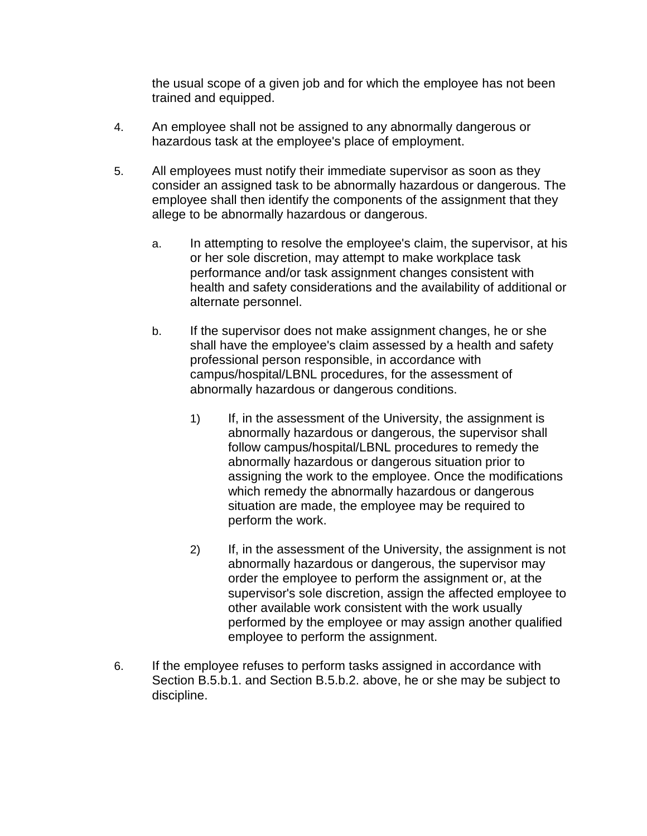the usual scope of a given job and for which the employee has not been trained and equipped.

- 4. An employee shall not be assigned to any abnormally dangerous or hazardous task at the employee's place of employment.
- 5. All employees must notify their immediate supervisor as soon as they consider an assigned task to be abnormally hazardous or dangerous. The employee shall then identify the components of the assignment that they allege to be abnormally hazardous or dangerous.
	- a. In attempting to resolve the employee's claim, the supervisor, at his or her sole discretion, may attempt to make workplace task performance and/or task assignment changes consistent with health and safety considerations and the availability of additional or alternate personnel.
	- b. If the supervisor does not make assignment changes, he or she shall have the employee's claim assessed by a health and safety professional person responsible, in accordance with campus/hospital/LBNL procedures, for the assessment of abnormally hazardous or dangerous conditions.
		- 1) If, in the assessment of the University, the assignment is abnormally hazardous or dangerous, the supervisor shall follow campus/hospital/LBNL procedures to remedy the abnormally hazardous or dangerous situation prior to assigning the work to the employee. Once the modifications which remedy the abnormally hazardous or dangerous situation are made, the employee may be required to perform the work.
		- 2) If, in the assessment of the University, the assignment is not abnormally hazardous or dangerous, the supervisor may order the employee to perform the assignment or, at the supervisor's sole discretion, assign the affected employee to other available work consistent with the work usually performed by the employee or may assign another qualified employee to perform the assignment.
- 6. If the employee refuses to perform tasks assigned in accordance with Section B.5.b.1. and Section B.5.b.2. above, he or she may be subject to discipline.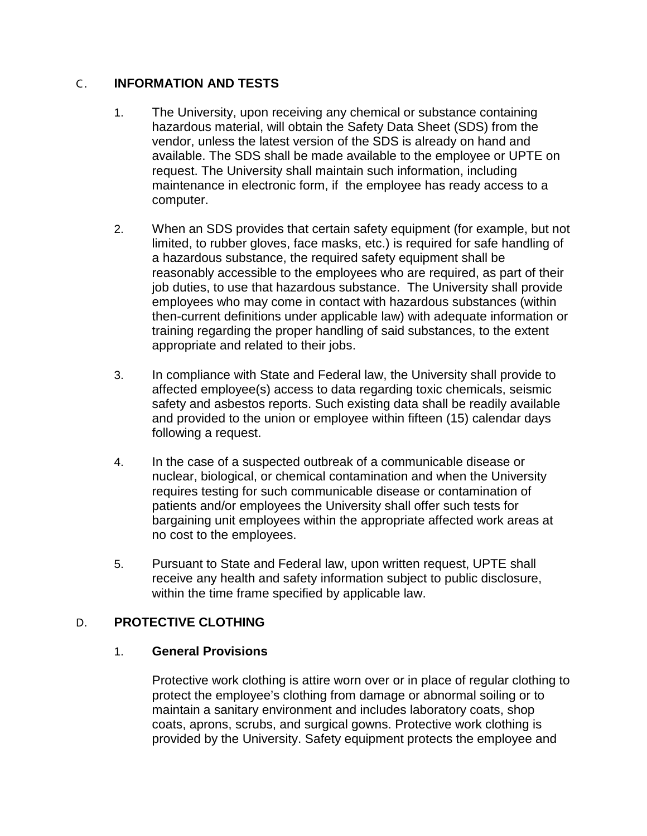### C . **INFORMATION AND TESTS**

- 1. The University, upon receiving any chemical or substance containing hazardous material, will obtain the Safety Data Sheet (SDS) from the vendor, unless the latest version of the SDS is already on hand and available. The SDS shall be made available to the employee or UPTE on request. The University shall maintain such information, including maintenance in electronic form, if the employee has ready access to a computer.
- 2. When an SDS provides that certain safety equipment (for example, but not limited, to rubber gloves, face masks, etc.) is required for safe handling of a hazardous substance, the required safety equipment shall be reasonably accessible to the employees who are required, as part of their job duties, to use that hazardous substance. The University shall provide employees who may come in contact with hazardous substances (within then-current definitions under applicable law) with adequate information or training regarding the proper handling of said substances, to the extent appropriate and related to their jobs.
- 3. In compliance with State and Federal law, the University shall provide to affected employee(s) access to data regarding toxic chemicals, seismic safety and asbestos reports. Such existing data shall be readily available and provided to the union or employee within fifteen (15) calendar days following a request.
- 4. In the case of a suspected outbreak of a communicable disease or nuclear, biological, or chemical contamination and when the University requires testing for such communicable disease or contamination of patients and/or employees the University shall offer such tests for bargaining unit employees within the appropriate affected work areas at no cost to the employees.
- 5. Pursuant to State and Federal law, upon written request, UPTE shall receive any health and safety information subject to public disclosure, within the time frame specified by applicable law.

# D. **PROTECTIVE CLOTHING**

#### 1. **General Provisions**

Protective work clothing is attire worn over or in place of regular clothing to protect the employee's clothing from damage or abnormal soiling or to maintain a sanitary environment and includes laboratory coats, shop coats, aprons, scrubs, and surgical gowns. Protective work clothing is provided by the University. Safety equipment protects the employee and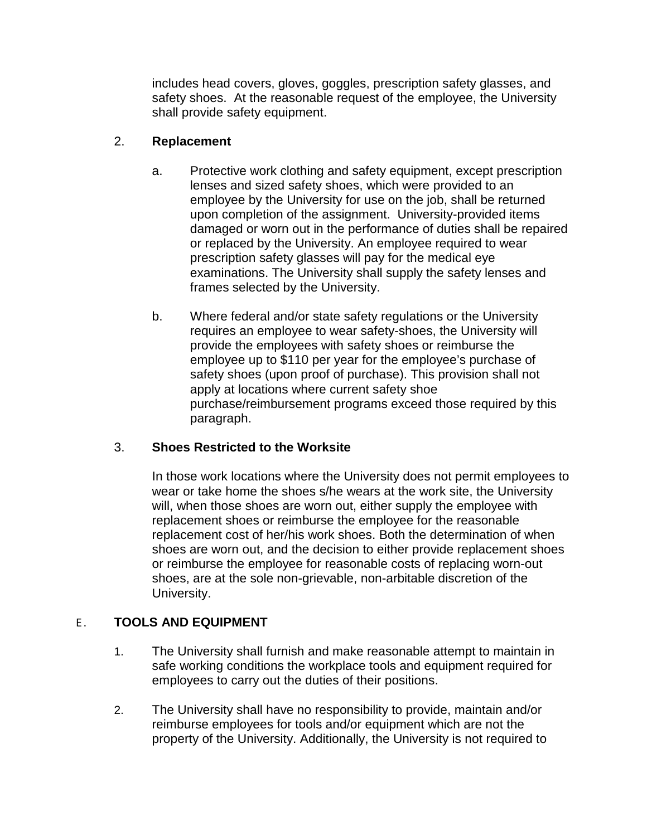includes head covers, gloves, goggles, prescription safety glasses, and safety shoes. At the reasonable request of the employee, the University shall provide safety equipment.

## 2. **Replacement**

- a. Protective work clothing and safety equipment, except prescription lenses and sized safety shoes, which were provided to an employee by the University for use on the job, shall be returned upon completion of the assignment. University-provided items damaged or worn out in the performance of duties shall be repaired or replaced by the University. An employee required to wear prescription safety glasses will pay for the medical eye examinations. The University shall supply the safety lenses and frames selected by the University.
- b. Where federal and/or state safety regulations or the University requires an employee to wear safety-shoes, the University will provide the employees with safety shoes or reimburse the employee up to \$110 per year for the employee's purchase of safety shoes (upon proof of purchase). This provision shall not apply at locations where current safety shoe purchase/reimbursement programs exceed those required by this paragraph.

# 3. **Shoes Restricted to the Worksite**

In those work locations where the University does not permit employees to wear or take home the shoes s/he wears at the work site, the University will, when those shoes are worn out, either supply the employee with replacement shoes or reimburse the employee for the reasonable replacement cost of her/his work shoes. Both the determination of when shoes are worn out, and the decision to either provide replacement shoes or reimburse the employee for reasonable costs of replacing worn-out shoes, are at the sole non-grievable, non-arbitable discretion of the University.

# E . **TOOLS AND EQUIPMENT**

- 1. The University shall furnish and make reasonable attempt to maintain in safe working conditions the workplace tools and equipment required for employees to carry out the duties of their positions.
- 2. The University shall have no responsibility to provide, maintain and/or reimburse employees for tools and/or equipment which are not the property of the University. Additionally, the University is not required to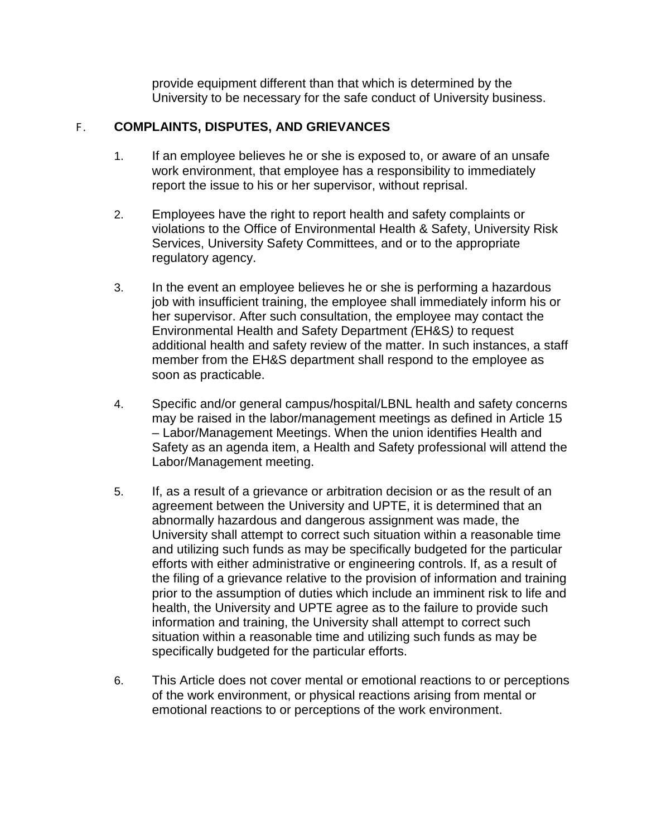provide equipment different than that which is determined by the University to be necessary for the safe conduct of University business.

### F . **COMPLAINTS, DISPUTES, AND GRIEVANCES**

- 1. If an employee believes he or she is exposed to, or aware of an unsafe work environment, that employee has a responsibility to immediately report the issue to his or her supervisor, without reprisal.
- 2. Employees have the right to report health and safety complaints or violations to the Office of Environmental Health & Safety, University Risk Services, University Safety Committees, and or to the appropriate regulatory agency.
- 3. In the event an employee believes he or she is performing a hazardous job with insufficient training, the employee shall immediately inform his or her supervisor. After such consultation, the employee may contact the Environmental Health and Safety Department *(*EH&S*)* to request additional health and safety review of the matter. In such instances, a staff member from the EH&S department shall respond to the employee as soon as practicable.
- 4. Specific and/or general campus/hospital/LBNL health and safety concerns may be raised in the labor/management meetings as defined in Article 15 – Labor/Management Meetings. When the union identifies Health and Safety as an agenda item, a Health and Safety professional will attend the Labor/Management meeting.
- 5. If, as a result of a grievance or arbitration decision or as the result of an agreement between the University and UPTE, it is determined that an abnormally hazardous and dangerous assignment was made, the University shall attempt to correct such situation within a reasonable time and utilizing such funds as may be specifically budgeted for the particular efforts with either administrative or engineering controls. If, as a result of the filing of a grievance relative to the provision of information and training prior to the assumption of duties which include an imminent risk to life and health, the University and UPTE agree as to the failure to provide such information and training, the University shall attempt to correct such situation within a reasonable time and utilizing such funds as may be specifically budgeted for the particular efforts.
- 6. This Article does not cover mental or emotional reactions to or perceptions of the work environment, or physical reactions arising from mental or emotional reactions to or perceptions of the work environment.